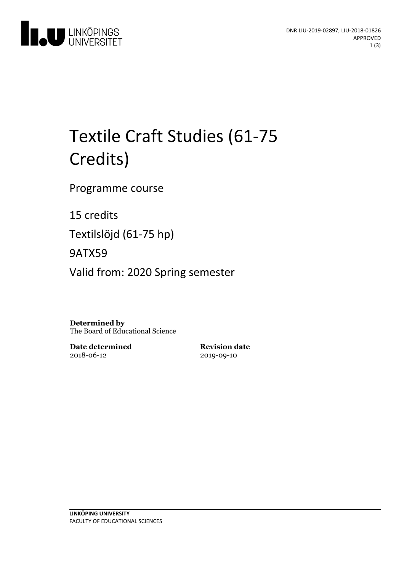

# Textile Craft Studies (61-75 Credits)

Programme course

15 credits

Textilslöjd (61-75 hp)

9ATX59

Valid from: 2020 Spring semester

**Determined by** The Board of Educational Science

**Date determined** 2018-06-12

**Revision date** 2019-09-10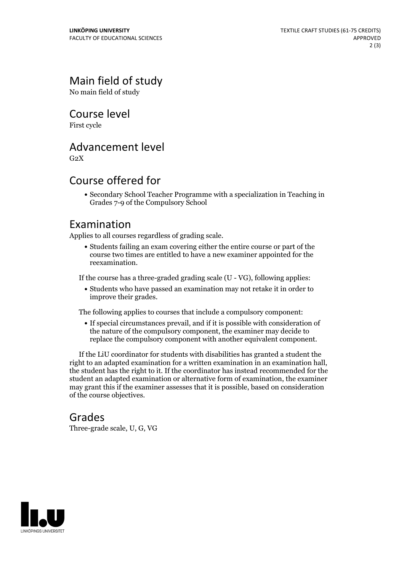# Main field of study

No main field of study

Course level

First cycle

#### Advancement level

 $G<sub>2</sub>X$ 

### Course offered for

Secondary School Teacher Programme with a specialization in Teaching in Grades 7-9 of the Compulsory School

#### Examination

Applies to all courses regardless of grading scale.

Students failing an exam covering either the entire course or part of the course two times are entitled to have a new examiner appointed for the reexamination.

If the course has a three-graded grading scale (U - VG), following applies:

Students who have passed an examination may not retake it in order to improve their grades.

The following applies to courses that include a compulsory component:

If special circumstances prevail, and if it is possible with consideration of the nature of the compulsory component, the examiner may decide to replace the compulsory component with another equivalent component.

If the LiU coordinator for students with disabilities has granted a student the right to an adapted examination for <sup>a</sup> written examination in an examination hall, the student has the right to it. If the coordinator has instead recommended for the student an adapted examination or alternative form of examination, the examiner may grant this if the examiner assesses that it is possible, based on consideration of the course objectives.

#### Grades

Three-grade scale, U, G, VG